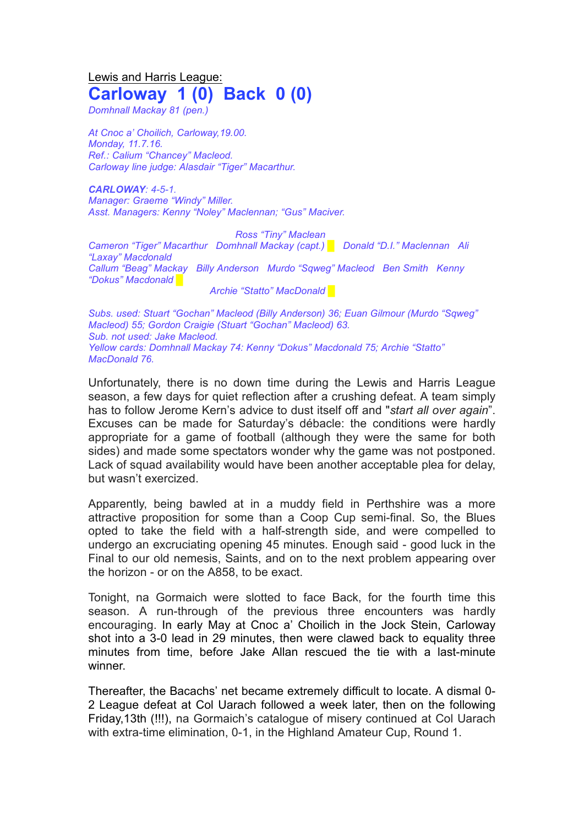## Lewis and Harris League: **Carloway 1 (0) Back 0 (0)**

*Domhnall Mackay 81 (pen.)*

*At Cnoc a' Choilich, Carloway,19.00. Monday, 11.7.16. Ref.: Calium "Chancey" Macleod. Carloway line judge: Alasdair "Tiger" Macarthur.*

*CARLOWAY: 4-5-1. Manager: Graeme "Windy" Miller. Asst. Managers: Kenny "Noley" Maclennan; "Gus" Maciver.*

*Ross "Tiny" Maclean Cameron "Tiger" Macarthur Domhnall Mackay (capt.) █ Donald "D.I." Maclennan Ali "Laxay" Macdonald Callum "Beag" Mackay Billy Anderson Murdo "Sqweg" Macleod Ben Smith Kenny "Dokus" Macdonald █*

*Archie "Statto" MacDonald █*

*Subs. used: Stuart "Gochan" Macleod (Billy Anderson) 36; Euan Gilmour (Murdo "Sqweg" Macleod) 55; Gordon Craigie (Stuart "Gochan" Macleod) 63. Sub. not used: Jake Macleod. Yellow cards: Domhnall Mackay 74: Kenny "Dokus" Macdonald 75; Archie "Statto" MacDonald 76.*

Unfortunately, there is no down time during the Lewis and Harris League season, a few days for quiet reflection after a crushing defeat. A team simply has to follow Jerome Kern's advice to dust itself off and "*start all over again*". Excuses can be made for Saturday's débacle: the conditions were hardly appropriate for a game of football (although they were the same for both sides) and made some spectators wonder why the game was not postponed. Lack of squad availability would have been another acceptable plea for delay, but wasn't exercized.

Apparently, being bawled at in a muddy field in Perthshire was a more attractive proposition for some than a Coop Cup semi-final. So, the Blues opted to take the field with a half-strength side, and were compelled to undergo an excruciating opening 45 minutes. Enough said - good luck in the Final to our old nemesis, Saints, and on to the next problem appearing over the horizon - or on the A858, to be exact.

Tonight, na Gormaich were slotted to face Back, for the fourth time this season. A run-through of the previous three encounters was hardly encouraging. In early May at Cnoc a' Choilich in the Jock Stein, Carloway shot into a 3-0 lead in 29 minutes, then were clawed back to equality three minutes from time, before Jake Allan rescued the tie with a last-minute winner.

Thereafter, the Bacachs' net became extremely difficult to locate. A dismal 0- 2 League defeat at Col Uarach followed a week later, then on the following Friday,13th (!!!), na Gormaich's catalogue of misery continued at Col Uarach with extra-time elimination, 0-1, in the Highland Amateur Cup, Round 1.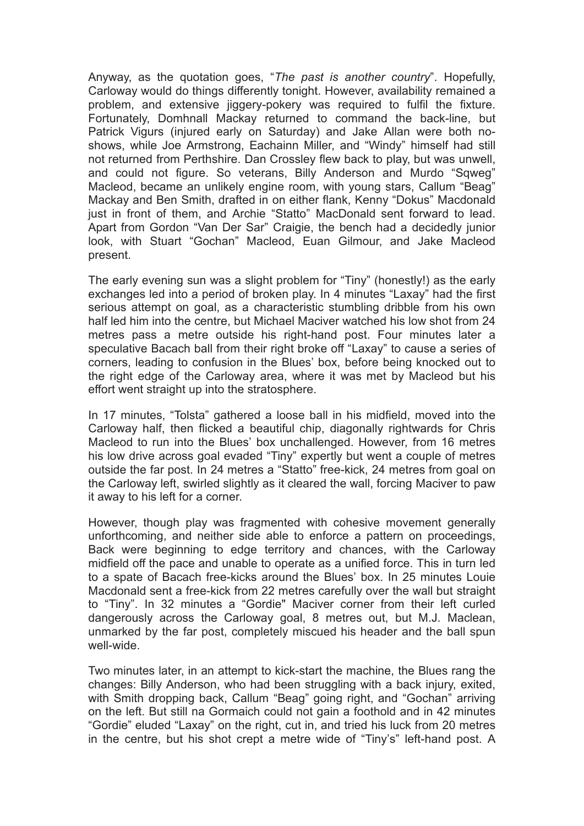Anyway, as the quotation goes, "*The past is another country*". Hopefully, Carloway would do things differently tonight. However, availability remained a problem, and extensive jiggery-pokery was required to fulfil the fixture. Fortunately, Domhnall Mackay returned to command the back-line, but Patrick Vigurs (injured early on Saturday) and Jake Allan were both noshows, while Joe Armstrong, Eachainn Miller, and "Windy" himself had still not returned from Perthshire. Dan Crossley flew back to play, but was unwell, and could not figure. So veterans, Billy Anderson and Murdo "Sqweg" Macleod, became an unlikely engine room, with young stars, Callum "Beag" Mackay and Ben Smith, drafted in on either flank, Kenny "Dokus" Macdonald just in front of them, and Archie "Statto" MacDonald sent forward to lead. Apart from Gordon "Van Der Sar" Craigie, the bench had a decidedly junior look, with Stuart "Gochan" Macleod, Euan Gilmour, and Jake Macleod present.

The early evening sun was a slight problem for "Tiny" (honestly!) as the early exchanges led into a period of broken play. In 4 minutes "Laxay" had the first serious attempt on goal, as a characteristic stumbling dribble from his own half led him into the centre, but Michael Maciver watched his low shot from 24 metres pass a metre outside his right-hand post. Four minutes later a speculative Bacach ball from their right broke off "Laxay" to cause a series of corners, leading to confusion in the Blues' box, before being knocked out to the right edge of the Carloway area, where it was met by Macleod but his effort went straight up into the stratosphere.

In 17 minutes, "Tolsta" gathered a loose ball in his midfield, moved into the Carloway half, then flicked a beautiful chip, diagonally rightwards for Chris Macleod to run into the Blues' box unchallenged. However, from 16 metres his low drive across goal evaded "Tiny" expertly but went a couple of metres outside the far post. In 24 metres a "Statto" free-kick, 24 metres from goal on the Carloway left, swirled slightly as it cleared the wall, forcing Maciver to paw it away to his left for a corner.

However, though play was fragmented with cohesive movement generally unforthcoming, and neither side able to enforce a pattern on proceedings, Back were beginning to edge territory and chances, with the Carloway midfield off the pace and unable to operate as a unified force. This in turn led to a spate of Bacach free-kicks around the Blues' box. In 25 minutes Louie Macdonald sent a free-kick from 22 metres carefully over the wall but straight to "Tiny". In 32 minutes a "Gordie" Maciver corner from their left curled dangerously across the Carloway goal, 8 metres out, but M.J. Maclean, unmarked by the far post, completely miscued his header and the ball spun well-wide.

Two minutes later, in an attempt to kick-start the machine, the Blues rang the changes: Billy Anderson, who had been struggling with a back injury, exited, with Smith dropping back, Callum "Beag" going right, and "Gochan" arriving on the left. But still na Gormaich could not gain a foothold and in 42 minutes "Gordie" eluded "Laxay" on the right, cut in, and tried his luck from 20 metres in the centre, but his shot crept a metre wide of "Tiny's" left-hand post. A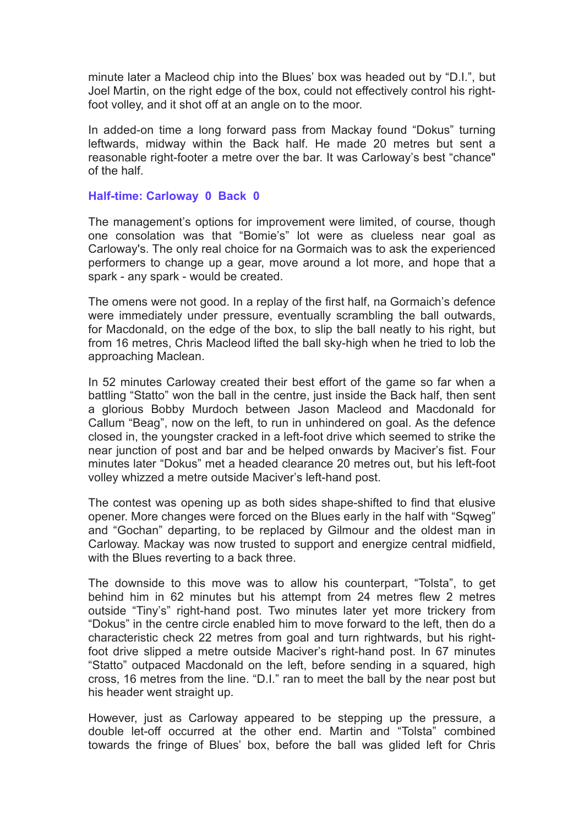minute later a Macleod chip into the Blues' box was headed out by "D.I.", but Joel Martin, on the right edge of the box, could not effectively control his rightfoot volley, and it shot off at an angle on to the moor.

In added-on time a long forward pass from Mackay found "Dokus" turning leftwards, midway within the Back half. He made 20 metres but sent a reasonable right-footer a metre over the bar. It was Carloway's best "chance" of the half.

## **Half-time: Carloway 0 Back 0**

The management's options for improvement were limited, of course, though one consolation was that "Bomie's" lot were as clueless near goal as Carloway's. The only real choice for na Gormaich was to ask the experienced performers to change up a gear, move around a lot more, and hope that a spark - any spark - would be created.

The omens were not good. In a replay of the first half, na Gormaich's defence were immediately under pressure, eventually scrambling the ball outwards, for Macdonald, on the edge of the box, to slip the ball neatly to his right, but from 16 metres, Chris Macleod lifted the ball sky-high when he tried to lob the approaching Maclean.

In 52 minutes Carloway created their best effort of the game so far when a battling "Statto" won the ball in the centre, just inside the Back half, then sent a glorious Bobby Murdoch between Jason Macleod and Macdonald for Callum "Beag", now on the left, to run in unhindered on goal. As the defence closed in, the youngster cracked in a left-foot drive which seemed to strike the near junction of post and bar and be helped onwards by Maciver's fist. Four minutes later "Dokus" met a headed clearance 20 metres out, but his left-foot volley whizzed a metre outside Maciver's left-hand post.

The contest was opening up as both sides shape-shifted to find that elusive opener. More changes were forced on the Blues early in the half with "Sqweg" and "Gochan" departing, to be replaced by Gilmour and the oldest man in Carloway. Mackay was now trusted to support and energize central midfield, with the Blues reverting to a back three.

The downside to this move was to allow his counterpart, "Tolsta", to get behind him in 62 minutes but his attempt from 24 metres flew 2 metres outside "Tiny's" right-hand post. Two minutes later yet more trickery from "Dokus" in the centre circle enabled him to move forward to the left, then do a characteristic check 22 metres from goal and turn rightwards, but his rightfoot drive slipped a metre outside Maciver's right-hand post. In 67 minutes "Statto" outpaced Macdonald on the left, before sending in a squared, high cross, 16 metres from the line. "D.I." ran to meet the ball by the near post but his header went straight up.

However, just as Carloway appeared to be stepping up the pressure, a double let-off occurred at the other end. Martin and "Tolsta" combined towards the fringe of Blues' box, before the ball was glided left for Chris